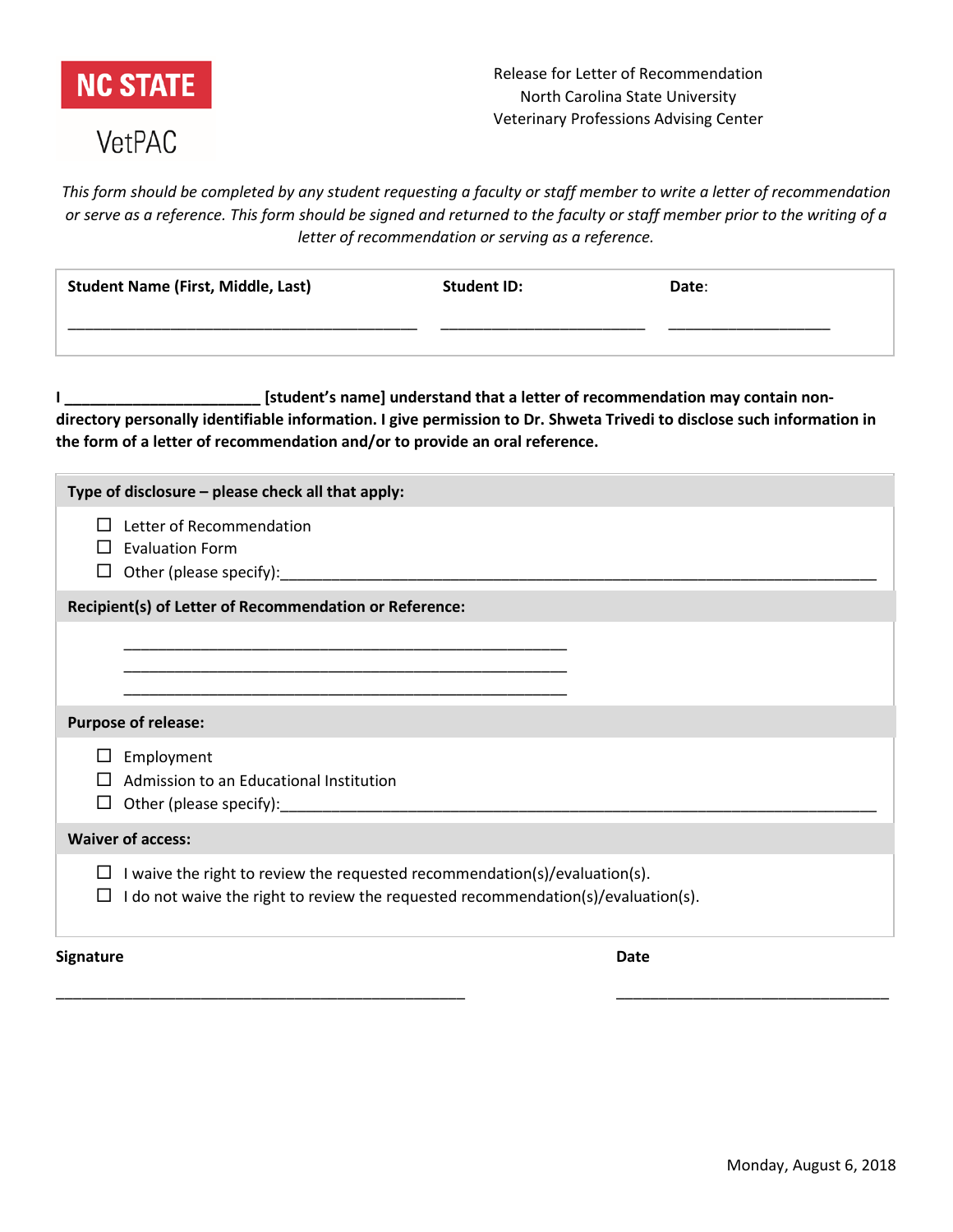

## VetPAC

*This form should be completed by any student requesting a faculty or staff member to write a letter of recommendation or serve as a reference. This form should be signed and returned to the faculty or staff member prior to the writing of a letter of recommendation or serving as a reference.*

|                                                                                                                                                                                                                                                                                       | <b>Student Name (First, Middle, Last)</b>                                                                                                                              | <b>Student ID:</b><br><u> 1989 - Johann John Harry Harry Harry Harry Harry Harry Harry Harry Harry Harry Harry Harry Harry Harry Harry Harry Harry Harry Harry Harry Harry Harry Harry Harry Harry Harry Harry Harry Harry Harry Harry Harry Harry Har</u> | Date: |
|---------------------------------------------------------------------------------------------------------------------------------------------------------------------------------------------------------------------------------------------------------------------------------------|------------------------------------------------------------------------------------------------------------------------------------------------------------------------|------------------------------------------------------------------------------------------------------------------------------------------------------------------------------------------------------------------------------------------------------------|-------|
| [student's name] understand that a letter of recommendation may contain non-<br>directory personally identifiable information. I give permission to Dr. Shweta Trivedi to disclose such information in<br>the form of a letter of recommendation and/or to provide an oral reference. |                                                                                                                                                                        |                                                                                                                                                                                                                                                            |       |
|                                                                                                                                                                                                                                                                                       | Type of disclosure - please check all that apply:                                                                                                                      |                                                                                                                                                                                                                                                            |       |
|                                                                                                                                                                                                                                                                                       | $\Box$ Letter of Recommendation<br>$\Box$ Evaluation Form<br>$\Box$ Other (please specify):                                                                            |                                                                                                                                                                                                                                                            |       |
| Recipient(s) of Letter of Recommendation or Reference:                                                                                                                                                                                                                                |                                                                                                                                                                        |                                                                                                                                                                                                                                                            |       |
|                                                                                                                                                                                                                                                                                       |                                                                                                                                                                        |                                                                                                                                                                                                                                                            |       |
| <b>Purpose of release:</b>                                                                                                                                                                                                                                                            |                                                                                                                                                                        |                                                                                                                                                                                                                                                            |       |
| ⊔<br>ப                                                                                                                                                                                                                                                                                | Employment<br>Admission to an Educational Institution                                                                                                                  |                                                                                                                                                                                                                                                            |       |
|                                                                                                                                                                                                                                                                                       | <b>Waiver of access:</b>                                                                                                                                               |                                                                                                                                                                                                                                                            |       |
| $\Box$                                                                                                                                                                                                                                                                                | $\Box$ I waive the right to review the requested recommendation(s)/evaluation(s).<br>I do not waive the right to review the requested recommendation(s)/evaluation(s). |                                                                                                                                                                                                                                                            |       |

\_\_\_\_\_\_\_\_\_\_\_\_\_\_\_\_\_\_\_\_\_\_\_\_\_\_\_\_\_\_\_\_\_\_\_\_\_\_\_\_\_\_\_\_\_\_\_\_ \_\_\_\_\_\_\_\_\_\_\_\_\_\_\_\_\_\_\_\_\_\_\_\_\_\_\_\_\_\_\_\_

**Signature Date**